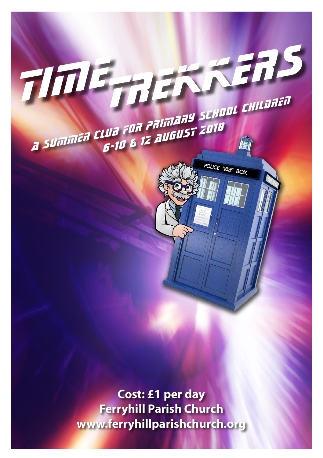

**Ferryhill Parish Church www.ferryhillparishchurch.org**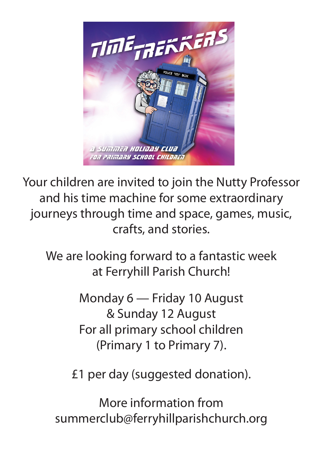

Your children are invited to join the Nutty Professor and his time machine for some extraordinary journeys through time and space, games, music, crafts, and stories.

We are looking forward to a fantastic week at Ferryhill Parish Church!

> Monday 6 — Friday 10 August & Sunday 12 August For all primary school children (Primary 1 to Primary 7).

£1 per day (suggested donation).

More information from summerclub@ferryhillparishchurch.org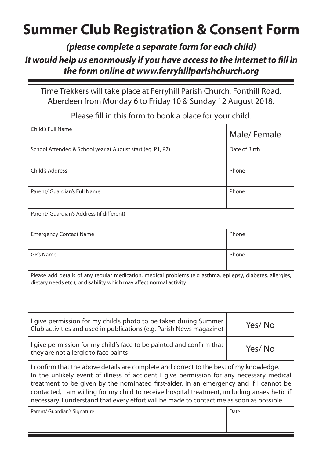## **Summer Club Registration & Consent Form**

*(please complete a separate form for each child)*

## *It would help us enormously if you have access to the internet to fill in the form online at www.ferryhillparishchurch.org*

Time Trekkers will take place at Ferryhill Parish Church, Fonthill Road, Aberdeen from Monday 6 to Friday 10 & Sunday 12 August 2018.

Child's Full Name **Male/ Female** School Attended & School year at August start (eg. P1, P7) Date of Birth **Child's Address** Phone Parent/ Guardian's Full Name Phone

Please fill in this form to book a place for your child.

Parent/ Guardian's Address (if different)

| <b>Emergency Contact Name</b> | Phone |
|-------------------------------|-------|
| GP's Name                     | Phone |

Please add details of any regular medication, medical problems (e.g asthma, epilepsy, diabetes, allergies, dietary needs etc.), or disability which may affect normal activity:

| I give permission for my child's photo to be taken during Summer<br>Club activities and used in publications (e.g. Parish News magazine) | Yes/No |
|------------------------------------------------------------------------------------------------------------------------------------------|--------|
| I give permission for my child's face to be painted and confirm that  <br>they are not allergic to face paints                           | Yes/No |

I confirm that the above details are complete and correct to the best of my knowledge. In the unlikely event of illness of accident I give permission for any necessary medical treatment to be given by the nominated first-aider. In an emergency and if I cannot be contacted, I am willing for my child to receive hospital treatment, including anaesthetic if necessary. I understand that every effort will be made to contact me as soon as possible.

Parent/ Guardian's Signature Date Date of the Date of Date Date Date of Date Date of Date of Date of Date of Date of Date of Date of Date of Date of Date of Date of Date of Date of Date of Date of Date of Date of Date of D